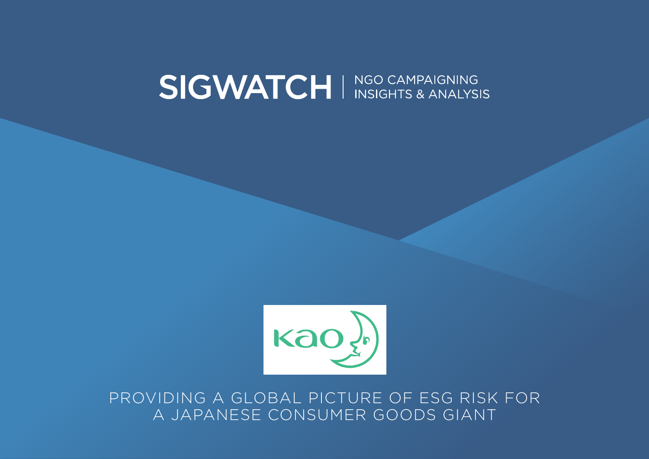# SIGWATCH I NGO CAMPAIGNING



PROVIDING A GLOBAL PICTURE OF ESG RISK FOR A JAPANESE CONSUMER GOODS GIANT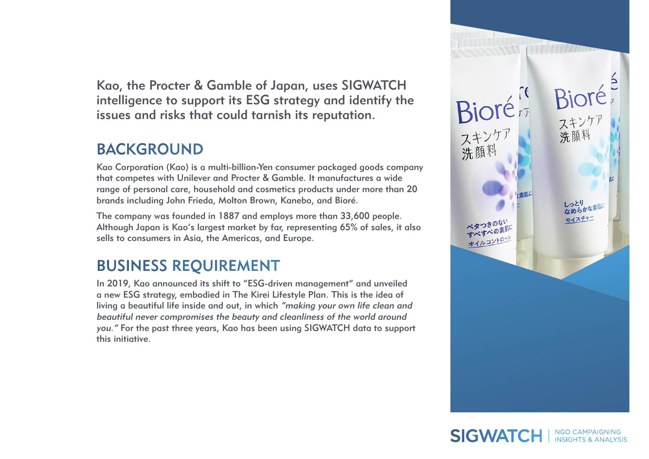Kao, the Procter & Gamble of Japan, uses SIGWATCH intelligence to support its ESG strategy and identify the issues and risks that could tarnish its reputation.

## BACKGROUND

Kao Corporation (Kao) is a multi-billion-Yen consumer packaged goods company that competes with Unilever and Procter & Gamble. It manufactures a wide range of personal care, household and cosmetics products under more than 20 brands including John Frieda, Molton Brown, Kanebo, and Bioré.

The company was founded in 1887 and employs more than 33,600 people. Although Japan is Kao's largest market by far, representing 65% of sales, it also sells to consumers in Asia, the Americas, and Europe.

# BUSINESS REQUIREMENT

In 2019, Kao announced its shift to "ESG-driven management" and unveiled a new ESG strategy, embodied in The Kirei Lifestyle Plan. This is the idea of living a beautiful life inside and out, in which "making your own life clean and beautiful never compromises the beauty and cleanliness of the world around you." For the past three years, Kao has been using SIGWATCH data to support this initiative.

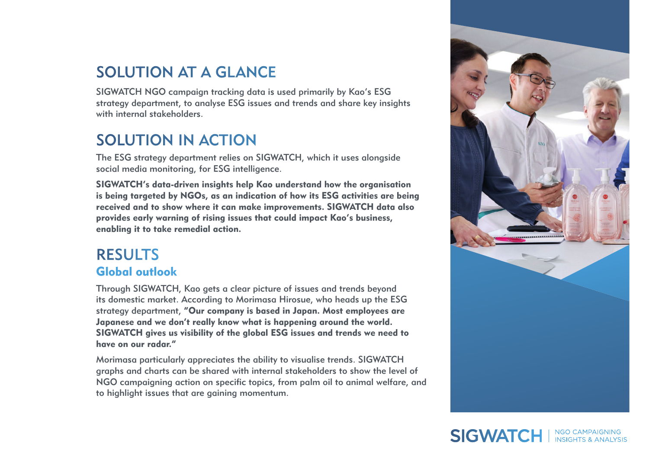## SOLUTION AT A GLANCE

SIGWATCH NGO campaign tracking data is used primarily by Kao's ESG strategy department, to analyse ESG issues and trends and share key insights with internal stakeholders.

# SOLUTION IN ACTION

The ESG strategy department relies on SIGWATCH, which it uses alongside social media monitoring, for ESG intelligence.

SIGWATCH's data-driven insights help Kao understand how the organisation is being targeted by NGOs, as an indication of how its ESG activities are being received and to show where it can make improvements. SIGWATCH data also provides early warning of rising issues that could impact Kao's business, enabling it to take remedial action.

#### RESULTS Global outlook

Through SIGWATCH, Kao gets a clear picture of issues and trends beyond its domestic market. According to Morimasa Hirosue, who heads up the ESG strategy department, "Our company is based in Japan. Most employees are Japanese and we don't really know what is happening around the world. SIGWATCH gives us visibility of the global ESG issues and trends we need to have on our radar."

Morimasa particularly appreciates the ability to visualise trends. SIGWATCH graphs and charts can be shared with internal stakeholders to show the level of NGO campaigning action on specific topics, from palm oil to animal welfare, and to highlight issues that are gaining momentum.



# SIGWATCH I NGO CAMPAIGNING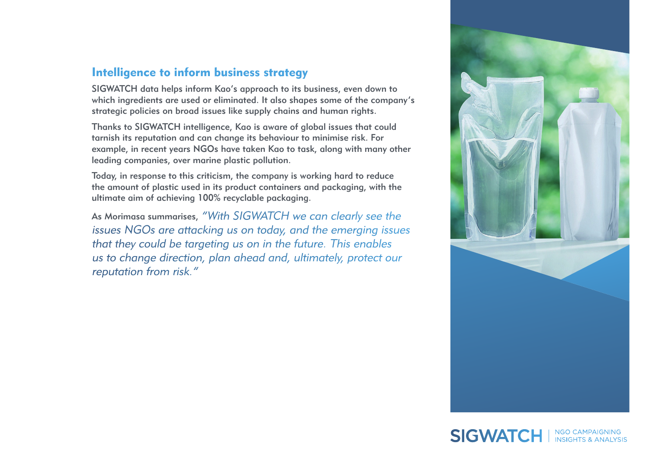#### Intelligence to inform business strategy

SIGWATCH data helps inform Kao's approach to its business, even down to which ingredients are used or eliminated. It also shapes some of the company's strategic policies on broad issues like supply chains and human rights.

Thanks to SIGWATCH intelligence, Kao is aware of global issues that could tarnish its reputation and can change its behaviour to minimise risk. For example, in recent years NGOs have taken Kao to task, along with many other leading companies, over marine plastic pollution.

Today, in response to this criticism, the company is working hard to reduce the amount of plastic used in its product containers and packaging, with the ultimate aim of achieving 100% recyclable packaging.

As Morimasa summarises, "With SIGWATCH we can clearly see the issues NGOs are attacking us on today, and the emerging issues that they could be targeting us on in the future. This enables us to change direction, plan ahead and, ultimately, protect our reputation from risk."



### SIGWATCH I NGO CAMPAIGNING